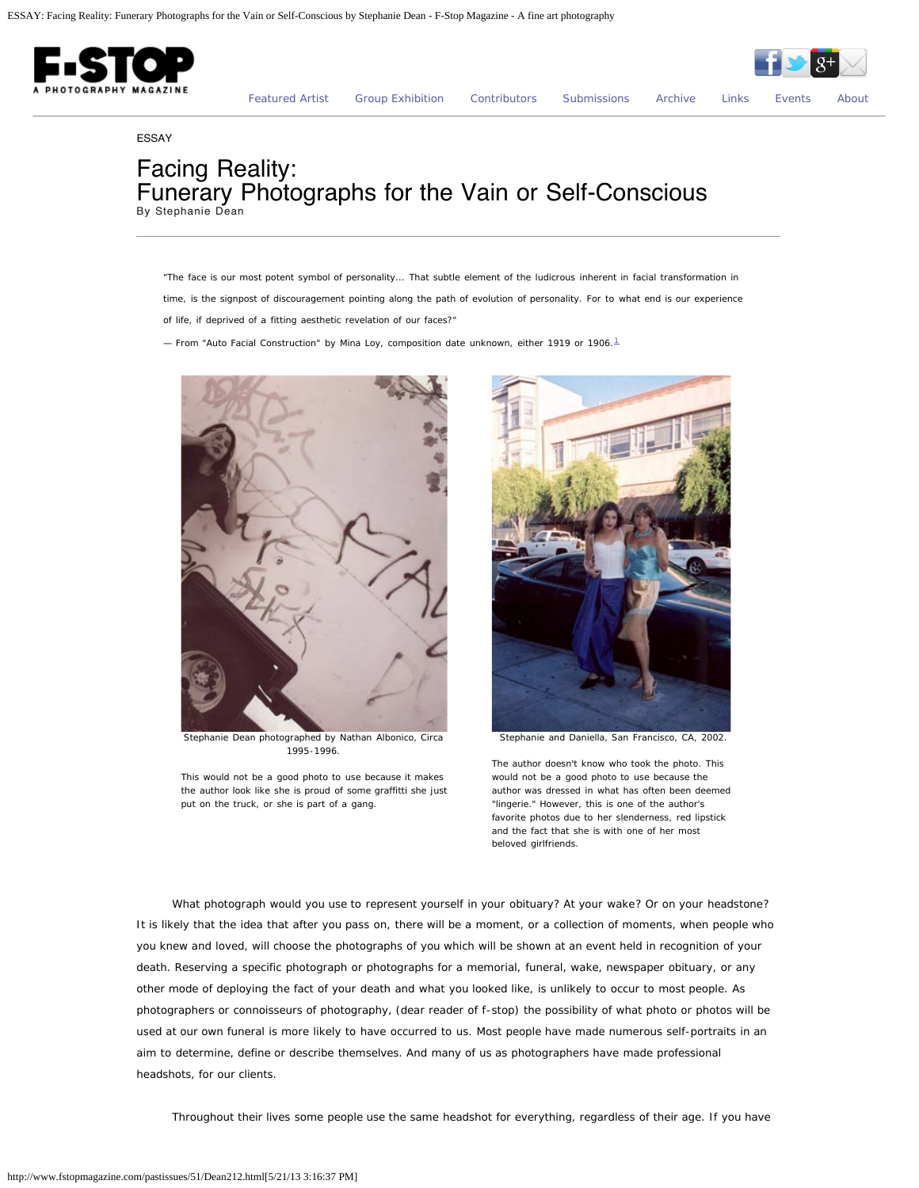

ESSAY

## Facing Reality: Funerary Photographs for the Vain or Self-Conscious By Stephanie Dean

*"The face is our most potent symbol of personality... That subtle element of the ludicrous inherent in facial transformation in time, is the signpost of discouragement pointing along the path of evolution of personality. For to what end is our experience of life, if deprived of a fitting aesthetic revelation of our faces?"* 

<span id="page-0-0"></span>*— From "Auto Facial Construction" by Mina Loy, composition date unknown, either 1919 or 1906.[1](#page-2-0)*



Stephanie Dean photographed by Nathan Albonico, Circa 1995-1996.

*This would not be a good photo to use because it makes the author look like she is proud of some graffitti she just put on the truck, or she is part of a gang.*



Stephanie and Daniella, San Francisco, CA, 2002.

*The author doesn't know who took the photo. This would not be a good photo to use because the author was dressed in what has often been deemed "lingerie." However, this is one of the author's favorite photos due to her slenderness, red lipstick and the fact that she is with one of her most beloved girlfriends.*

What photograph would you use to represent yourself in your obituary? At your wake? Or on your headstone? It is likely that the idea that after you pass on, there will be a moment, or a collection of moments, when people who you knew and loved, will choose the photographs of you which will be shown at an event held in recognition of your death. Reserving a specific photograph or photographs for a memorial, funeral, wake, newspaper obituary, or any other mode of deploying the fact of your death and what you looked like, is unlikely to occur to most people. As photographers or connoisseurs of photography, (dear reader of f-stop) the possibility of what photo or photos will be used at our own funeral is more likely to have occurred to us. Most people have made numerous self-portraits in an aim to determine, define or describe themselves. And many of us as photographers have made professional headshots, for our clients.

Throughout their lives some people use the same headshot for everything, regardless of their age. If you have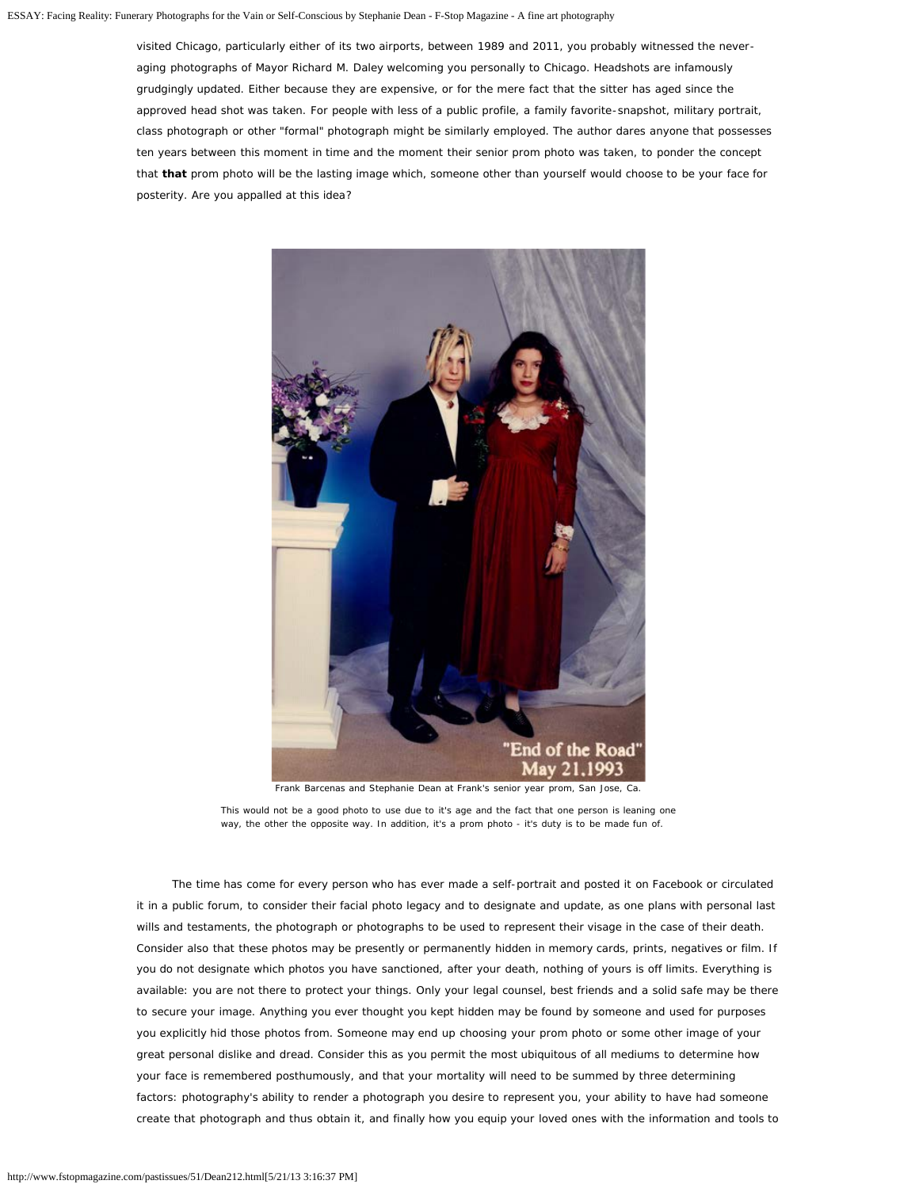## ESSAY: Facing Reality: Funerary Photographs for the Vain or Self-Conscious by Stephanie Dean - F-Stop Magazine - A fine art photography

visited Chicago, particularly either of its two airports, between 1989 and 2011, you probably witnessed the neveraging photographs of Mayor Richard M. Daley welcoming you personally to Chicago. Headshots are infamously grudgingly updated. Either because they are expensive, or for the mere fact that the sitter has aged since the approved head shot was taken. For people with less of a public profile, a family favorite-snapshot, military portrait, class photograph or other "formal" photograph might be similarly employed. The author dares anyone that possesses ten years between this moment in time and the moment their senior prom photo was taken, to ponder the concept that **that** prom photo will be the lasting image which, someone other than yourself would choose to be your face for posterity. Are you appalled at this idea?



The time has come for every person who has ever made a self-portrait and posted it on Facebook or circulated it in a public forum, to consider their facial photo legacy and to designate and update, as one plans with personal last wills and testaments, the photograph or photographs to be used to represent their visage in the case of their death. Consider also that these photos may be presently or permanently hidden in memory cards, prints, negatives or film. If you do not designate which photos you have sanctioned, after your death, nothing of yours is off limits. Everything is available: you are not there to protect your things. Only your legal counsel, best friends and a solid safe may be there to secure your image. Anything you ever thought you kept hidden may be found by someone and used for purposes you explicitly hid those photos from. Someone may end up choosing your prom photo or some other image of your great personal dislike and dread. Consider this as you permit the most ubiquitous of all mediums to determine how your face is remembered posthumously, and that your mortality will need to be summed by three determining factors: photography's ability to render a photograph you desire to represent you, your ability to have had someone create that photograph and thus obtain it, and finally how you equip your loved ones with the information and tools to

*This would not be a good photo to use due to it's age and the fact that one person is leaning one way, the other the opposite way. In addition, it's a prom photo - it's duty is to be made fun of.*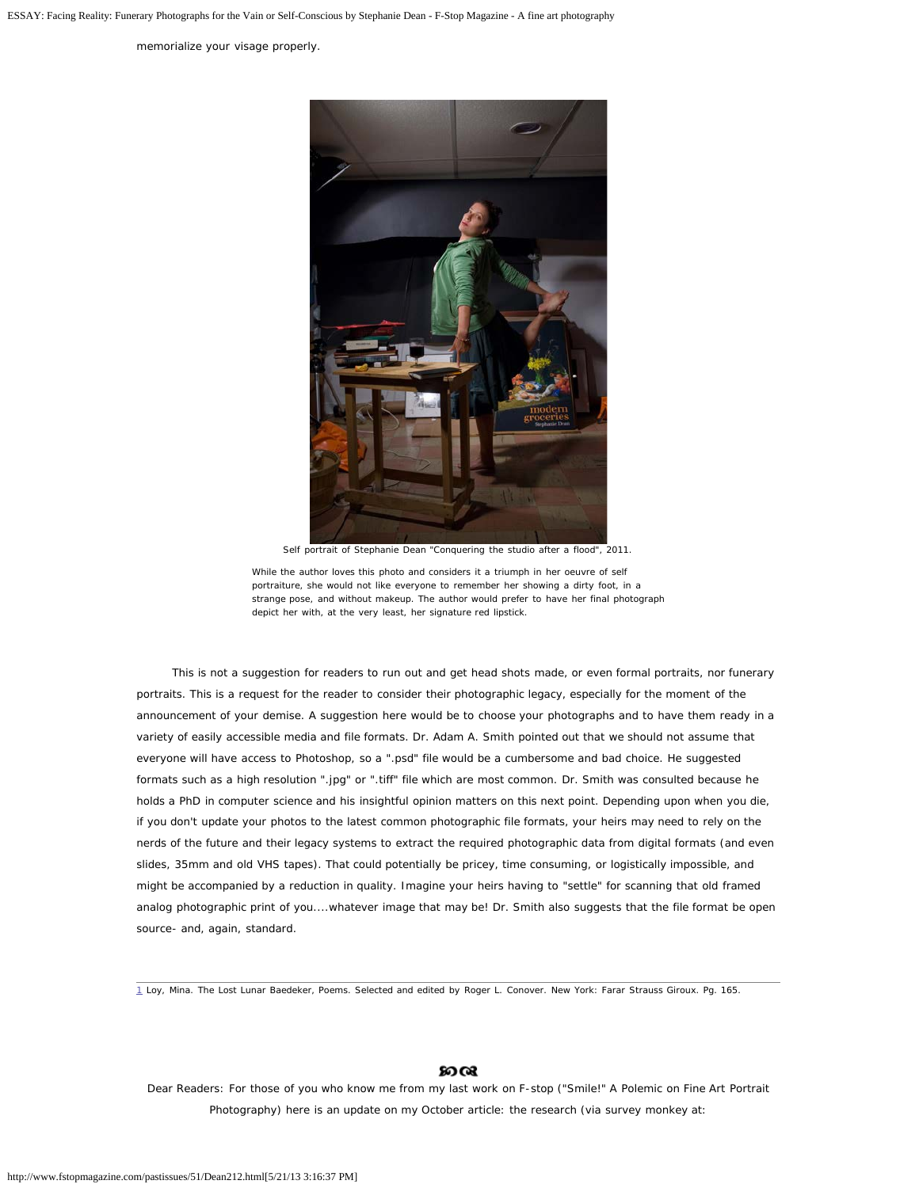ESSAY: Facing Reality: Funerary Photographs for the Vain or Self-Conscious by Stephanie Dean - F-Stop Magazine - A fine art photography

memorialize your visage properly.



Self portrait of Stephanie Dean "Conquering the studio after a flood", 2011.

*While the author loves this photo and considers it a triumph in her oeuvre of self portraiture, she would not like everyone to remember her showing a dirty foot, in a strange pose, and without makeup. The author would prefer to have her final photograph depict her with, at the very least, her signature red lipstick.*

This is not a suggestion for readers to run out and get head shots made, or even formal portraits, nor funerary portraits. This is a request for the reader to consider their photographic legacy, especially for the moment of the announcement of your demise. A suggestion here would be to choose your photographs and to have them ready in a variety of easily accessible media and file formats. Dr. Adam A. Smith pointed out that we should not assume that everyone will have access to Photoshop, so a ".psd" file would be a cumbersome and bad choice. He suggested formats such as a high resolution ".jpg" or ".tiff" file which are most common. Dr. Smith was consulted because he holds a PhD in computer science and his insightful opinion matters on this next point. Depending upon when you die, if you don't update your photos to the latest common photographic file formats, your heirs may need to rely on the nerds of the future and their legacy systems to extract the required photographic data from digital formats (and even slides, 35mm and old VHS tapes). That could potentially be pricey, time consuming, or logistically impossible, and might be accompanied by a reduction in quality. Imagine your heirs having to "settle" for scanning that old framed analog photographic print of you....whatever image that may be! Dr. Smith also suggests that the file format be open source- and, again, standard.

<span id="page-2-0"></span>[1](#page-0-0) Loy, Mina. The Lost Lunar Baedeker, Poems. Selected and edited by Roger L. Conover. New York: Farar Strauss Giroux. Pg. 165.

## മരു

Dear Readers: For those of you who know me from my last work on F-stop ("Smile!" A Polemic on Fine Art Portrait Photography) here is an update on my October article: the research (via survey monkey at: